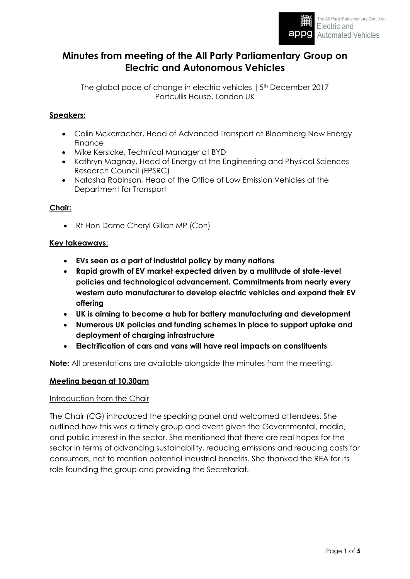

# **Minutes from meeting of the All Party Parliamentary Group on Electric and Autonomous Vehicles**

The global pace of change in electric vehicles | 5<sup>th</sup> December 2017 Portcullis House, London UK

### **Speakers:**

- Colin Mckerracher, Head of Advanced Transport at Bloomberg New Energy Finance
- Mike Kerslake, Technical Manager at BYD
- Kathryn Magnay, Head of Energy at the Engineering and Physical Sciences Research Council (EPSRC)
- Natasha Robinson, Head of the Office of Low Emission Vehicles at the Department for Transport

#### **Chair:**

• Rt Hon Dame Cheryl Gillan MP (Con)

#### **Key takeaways:**

- **EVs seen as a part of industrial policy by many nations**
- **Rapid growth of EV market expected driven by a multitude of state-level policies and technological advancement. Commitments from nearly every western auto manufacturer to develop electric vehicles and expand their EV offering**
- **UK is aiming to become a hub for battery manufacturing and development**
- **Numerous UK policies and funding schemes in place to support uptake and deployment of charging infrastructure**
- **Electrification of cars and vans will have real impacts on constituents**

**Note:** All presentations are available alongside the minutes from the meeting.

#### **Meeting began at 10.30am**

#### Introduction from the Chair

The Chair (CG) introduced the speaking panel and welcomed attendees. She outlined how this was a timely group and event given the Governmental, media, and public interest in the sector. She mentioned that there are real hopes for the sector in terms of advancing sustainability, reducing emissions and reducing costs for consumers, not to mention potential industrial benefits. She thanked the REA for its role founding the group and providing the Secretariat.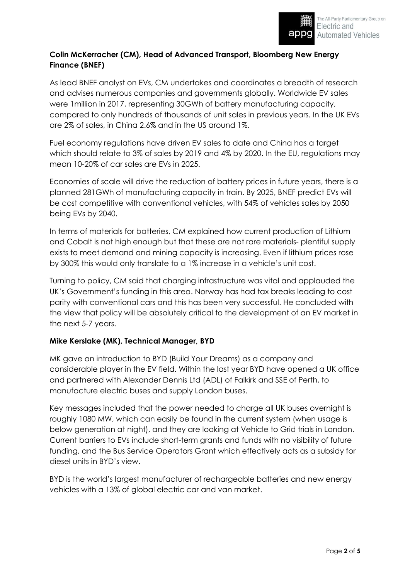# **Colin McKerracher (CM), Head of Advanced Transport, Bloomberg New Energy Finance (BNEF)**

As lead BNEF analyst on EVs, CM undertakes and coordinates a breadth of research and advises numerous companies and governments globally. Worldwide EV sales were 1million in 2017, representing 30GWh of battery manufacturing capacity, compared to only hundreds of thousands of unit sales in previous years. In the UK EVs are 2% of sales, in China 2.6% and in the US around 1%.

Fuel economy regulations have driven EV sales to date and China has a target which should relate to 3% of sales by 2019 and 4% by 2020. In the EU, regulations may mean 10-20% of car sales are EVs in 2025.

Economies of scale will drive the reduction of battery prices in future years, there is a planned 281GWh of manufacturing capacity in train. By 2025, BNEF predict EVs will be cost competitive with conventional vehicles, with 54% of vehicles sales by 2050 being EVs by 2040.

In terms of materials for batteries, CM explained how current production of Lithium and Cobalt is not high enough but that these are not rare materials- plentiful supply exists to meet demand and mining capacity is increasing. Even if lithium prices rose by 300% this would only translate to a 1% increase in a vehicle's unit cost.

Turning to policy, CM said that charging infrastructure was vital and applauded the UK's Government's funding in this area. Norway has had tax breaks leading to cost parity with conventional cars and this has been very successful. He concluded with the view that policy will be absolutely critical to the development of an EV market in the next 5-7 years.

### **Mike Kerslake (MK), Technical Manager, BYD**

MK gave an introduction to BYD (Build Your Dreams) as a company and considerable player in the EV field. Within the last year BYD have opened a UK office and partnered with Alexander Dennis Ltd (ADL) of Falkirk and SSE of Perth, to manufacture electric buses and supply London buses.

Key messages included that the power needed to charge all UK buses overnight is roughly 1080 MW, which can easily be found in the current system (when usage is below generation at night), and they are looking at Vehicle to Grid trials in London. Current barriers to EVs include short-term grants and funds with no visibility of future funding, and the Bus Service Operators Grant which effectively acts as a subsidy for diesel units in BYD's view.

BYD is the world's largest manufacturer of rechargeable batteries and new energy vehicles with a 13% of global electric car and van market.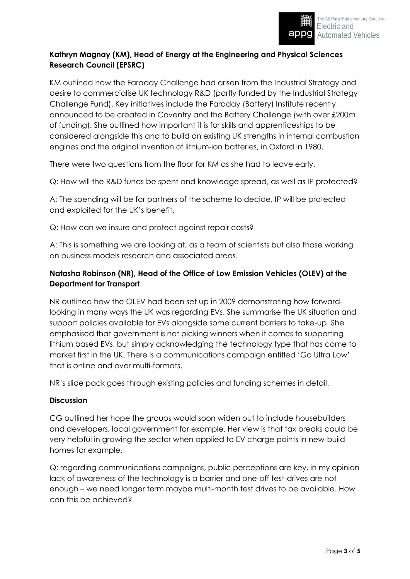# **Kathryn Magnay (KM), Head of Energy at the Engineering and Physical Sciences Research Council (EPSRC)**

KM outlined how the Faraday Challenge had arisen from the Industrial Strategy and desire to commercialise UK technology R&D (partly funded by the Industrial Strategy Challenge Fund). Key initiatives include the Faraday (Battery) Institute recently announced to be created in Coventry and the Battery Challenge (with over £200m of funding). She outlined how important it is for skills and apprenticeships to be considered alongside this and to build on existing UK strengths in internal combustion engines and the original invention of lithium-ion batteries, in Oxford in 1980.

There were two questions from the floor for KM as she had to leave early.

Q: How will the R&D funds be spent and knowledge spread, as well as IP protected?

A: The spending will be for partners of the scheme to decide, IP will be protected and exploited for the UK's benefit.

Q: How can we insure and protect against repair costs?

A: This is something we are looking at, as a team of scientists but also those working on business models research and associated areas.

# **Natasha Robinson (NR), Head of the Office of Low Emission Vehicles (OLEV) at the Department for Transport**

NR outlined how the OLEV had been set up in 2009 demonstrating how forwardlooking in many ways the UK was regarding EVs. She summarise the UK situation and support policies available for EVs alongside some current barriers to take-up. She emphasised that government is not picking winners when it comes to supporting lithium based EVs, but simply acknowledging the technology type that has come to market first in the UK. There is a communications campaign entitled 'Go Ultra Low' that is online and over multi-formats.

NR's slide pack goes through existing policies and funding schemes in detail.

### **Discussion**

CG outlined her hope the groups would soon widen out to include housebuilders and developers, local government for example. Her view is that tax breaks could be very helpful in growing the sector when applied to EV charge points in new-build homes for example.

Q: regarding communications campaigns, public perceptions are key, in my opinion lack of awareness of the technology is a barrier and one-off test-drives are not enough – we need longer term maybe multi-month test drives to be available. How can this be achieved?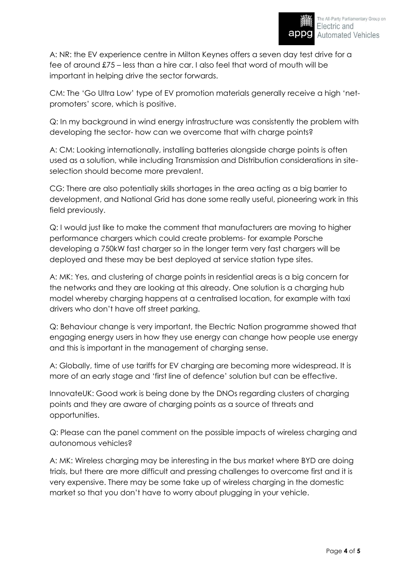A: NR: the EV experience centre in Milton Keynes offers a seven day test drive for a fee of around £75 – less than a hire car. I also feel that word of mouth will be important in helping drive the sector forwards.

CM: The 'Go Ultra Low' type of EV promotion materials generally receive a high 'netpromoters' score, which is positive.

Q: In my background in wind energy infrastructure was consistently the problem with developing the sector- how can we overcome that with charge points?

A: CM: Looking internationally, installing batteries alongside charge points is often used as a solution, while including Transmission and Distribution considerations in siteselection should become more prevalent.

CG: There are also potentially skills shortages in the area acting as a big barrier to development, and National Grid has done some really useful, pioneering work in this field previously.

Q: I would just like to make the comment that manufacturers are moving to higher performance chargers which could create problems- for example Porsche developing a 750kW fast charger so in the longer term very fast chargers will be deployed and these may be best deployed at service station type sites.

A: MK: Yes, and clustering of charge points in residential areas is a big concern for the networks and they are looking at this already. One solution is a charging hub model whereby charging happens at a centralised location, for example with taxi drivers who don't have off street parking.

Q: Behaviour change is very important, the Electric Nation programme showed that engaging energy users in how they use energy can change how people use energy and this is important in the management of charging sense.

A: Globally, time of use tariffs for EV charging are becoming more widespread. It is more of an early stage and 'first line of defence' solution but can be effective.

InnovateUK: Good work is being done by the DNOs regarding clusters of charging points and they are aware of charging points as a source of threats and opportunities.

Q: Please can the panel comment on the possible impacts of wireless charging and autonomous vehicles?

A: MK: Wireless charging may be interesting in the bus market where BYD are doing trials, but there are more difficult and pressing challenges to overcome first and it is very expensive. There may be some take up of wireless charging in the domestic market so that you don't have to worry about plugging in your vehicle.